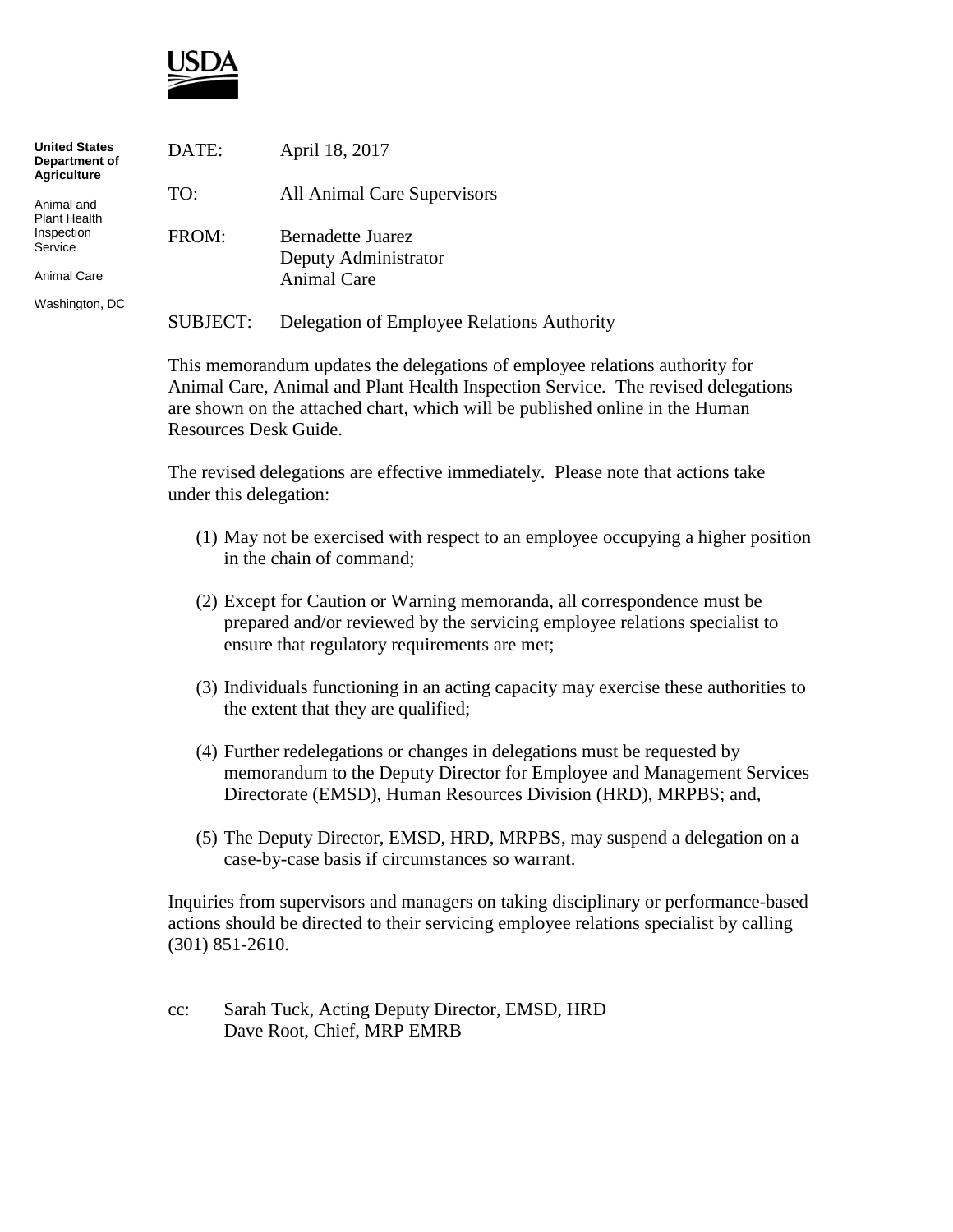

| <b>United States</b><br>Department of<br>Agriculture | DATE:    | April 18, 2017                             |
|------------------------------------------------------|----------|--------------------------------------------|
| Animal and<br>Plant Health                           | TO:      | All Animal Care Supervisors                |
| Inspection<br>Service                                | FROM:    | Bernadette Juarez<br>Deputy Administrator  |
| Animal Care                                          |          | Animal Care                                |
| Washington, DC                                       | SUBJECT: | Delegation of Employee Relations Authority |

This memorandum updates the delegations of employee relations authority for Animal Care, Animal and Plant Health Inspection Service. The revised delegations are shown on the attached chart, which will be published online in the Human Resources Desk Guide.

The revised delegations are effective immediately. Please note that actions take under this delegation:

- (1) May not be exercised with respect to an employee occupying a higher position in the chain of command;
- (2) Except for Caution or Warning memoranda, all correspondence must be prepared and/or reviewed by the servicing employee relations specialist to ensure that regulatory requirements are met;
- (3) Individuals functioning in an acting capacity may exercise these authorities to the extent that they are qualified;
- (4) Further redelegations or changes in delegations must be requested by memorandum to the Deputy Director for Employee and Management Services Directorate (EMSD), Human Resources Division (HRD), MRPBS; and,
- (5) The Deputy Director, EMSD, HRD, MRPBS, may suspend a delegation on a case-by-case basis if circumstances so warrant.

Inquiries from supervisors and managers on taking disciplinary or performance-based actions should be directed to their servicing employee relations specialist by calling (301) 851-2610.

cc: Sarah Tuck, Acting Deputy Director, EMSD, HRD Dave Root, Chief, MRP EMRB